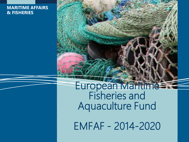#### **MARITIME AFFAIRS & FISHERIES**

European Maritime Fisheries and Aquaculture Fund

EMFAF - 2014-2020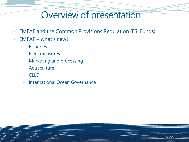## Overview of presentation

- EMFAF and the Common Provisions Regulation (ESI Funds)
- EMFAF what's new?
	- Fisheries
	- Fleet measures
	- Marketing and processing
	- Aquaculture
	- CLLD
	- International Ocean Governance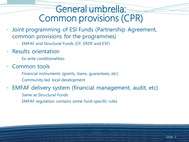### General umbrella: Common provisions (CPR)

- Joint programming of ESI Funds (Partnership Agreement, common provisions for the programmes)
	- EMFAF and Structural Funds (CF, ERDF and ESF)
- Results orientation
	- Ex-ante conditionalities
- Common tools
	- Financial instruments (grants, loans, guarantees, etc)
	- Community-led local development
- EMFAF delivery system (financial management, audit, etc)
	- Same as Structural Funds
	- EMFAF regulation contains some fund-specific rules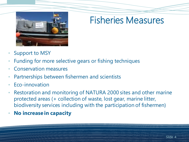

## Fisheries Measures

- Support to MSY
- Funding for more selective gears or fishing techniques
- Conservation measures
- Partnerships between fishermen and scientists
- Eco-innovation
- Restoration and monitoring of NATURA 2000 sites and other marine protected areas (+ collection of waste, lost gear, marine litter, biodiversity services including with the participation of fishermen)
- **No increase in capacity**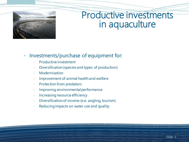

### Productive investments in aquaculture

- Investments/purchase of equipment for:
	- Productive investment
	- Diversification(species and types of production)
	- **Modernisation**
	- Improvement of animal health and welfare
	- Protection from predators
	- Improving environmental performance
	- Increasing resource efficiency
	- Diversification of income (e.e. angling, tourism)
	- Reducing impacts on water use and quality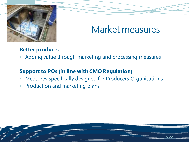

## Market measures

#### **Better products**

• Adding value through marketing and processing measures

#### **Support to POs (in line with CMO Regulation)**

- Measures specifically designed for Producers Organisations
- Production and marketing plans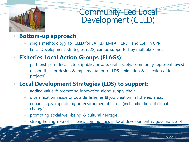

### Community-Led Local Development (CLLD)

#### • **Bottom-up approach**

- single methodology for CLLD for EAFRD, EMFAF, ERDF and ESF (in CPR)
- Local Development Strategies (LDS) can be supported by multiple Funds

### • **Fisheries Local Action Groups (FLAGs):**

- partnerships of local actors (public, private, civil society, community representatives)
- responsible for design & implementation of LDS (animation & selection of local projects)

### • **Local Development Strategies (LDS) to support:**

- adding value & promoting innovation along supply chain
- diversification inside or outside fisheries & job creation in fisheries areas
- enhancing & capitalising on environmental assets (incl. mitigation of climate change)
- promoting social well-being & cultural heritage
- strengthening role of fisheries communities in local development & governance of local fisheries resources & maritime activities